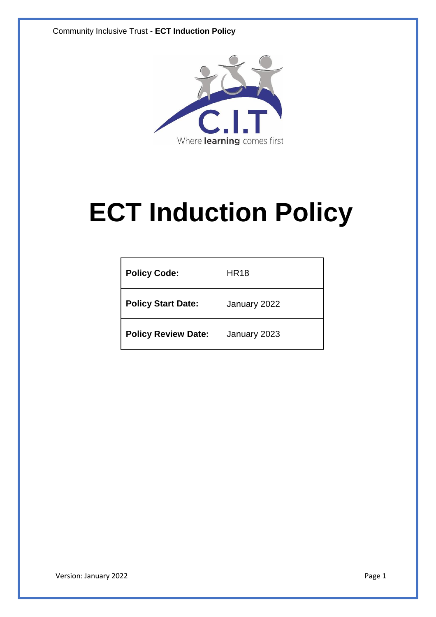

# **ECT Induction Policy**

| <b>Policy Code:</b>        | <b>HR18</b>  |
|----------------------------|--------------|
| <b>Policy Start Date:</b>  | January 2022 |
| <b>Policy Review Date:</b> | January 2023 |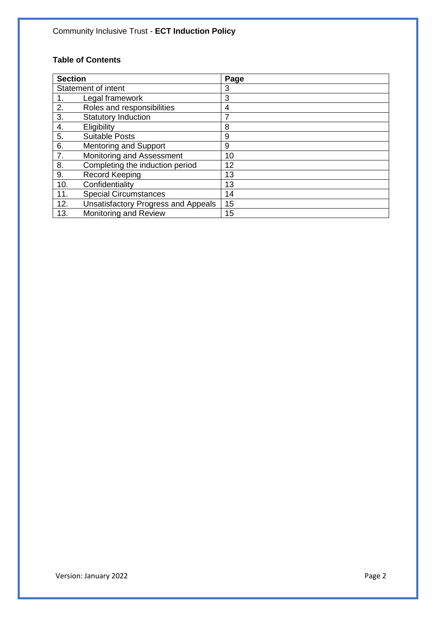#### **Table of Contents**

| <b>Section</b>      |                                            | Page |
|---------------------|--------------------------------------------|------|
| Statement of intent |                                            | 3    |
|                     | Legal framework                            | 3    |
| 2.                  | Roles and responsibilities                 | 4    |
| 3.                  | <b>Statutory Induction</b>                 | 7    |
| 4.                  | Eligibility                                | 8    |
| 5.                  | <b>Suitable Posts</b>                      | 9    |
| 6.                  | <b>Mentoring and Support</b>               | 9    |
| 7.                  | Monitoring and Assessment                  | 10   |
| 8.                  | Completing the induction period            | 12   |
| 9.                  | <b>Record Keeping</b>                      | 13   |
| 10.                 | Confidentiality                            | 13   |
| 11.                 | <b>Special Circumstances</b>               | 14   |
| 12.                 | <b>Unsatisfactory Progress and Appeals</b> | 15   |
| 13.                 | Monitoring and Review                      | 15   |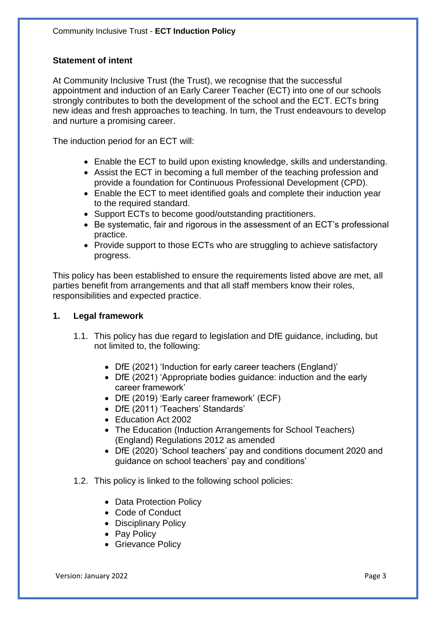# **Statement of intent**

At Community Inclusive Trust (the Trust), we recognise that the successful appointment and induction of an Early Career Teacher (ECT) into one of our schools strongly contributes to both the development of the school and the ECT. ECTs bring new ideas and fresh approaches to teaching. In turn, the Trust endeavours to develop and nurture a promising career.

The induction period for an ECT will:

- Enable the ECT to build upon existing knowledge, skills and understanding.
- Assist the ECT in becoming a full member of the teaching profession and provide a foundation for Continuous Professional Development (CPD).
- Enable the ECT to meet identified goals and complete their induction year to the required standard.
- Support ECTs to become good/outstanding practitioners.
- Be systematic, fair and rigorous in the assessment of an ECT's professional practice.
- Provide support to those ECTs who are struggling to achieve satisfactory progress.

This policy has been established to ensure the requirements listed above are met, all parties benefit from arrangements and that all staff members know their roles, responsibilities and expected practice.

### **1. Legal framework**

- 1.1. This policy has due regard to legislation and DfE guidance, including, but not limited to, the following:
	- DfE (2021) 'Induction for early career teachers (England)'
	- DfE (2021) 'Appropriate bodies guidance: induction and the early career framework'
	- DfE (2019) 'Early career framework' (ECF)
	- DfE (2011) 'Teachers' Standards'
	- Education Act 2002
	- The Education (Induction Arrangements for School Teachers) (England) Regulations 2012 as amended
	- DfE (2020) 'School teachers' pay and conditions document 2020 and guidance on school teachers' pay and conditions'
- 1.2. This policy is linked to the following school policies:
	- Data Protection Policy
	- Code of Conduct
	- Disciplinary Policy
	- Pay Policy
	- Grievance Policy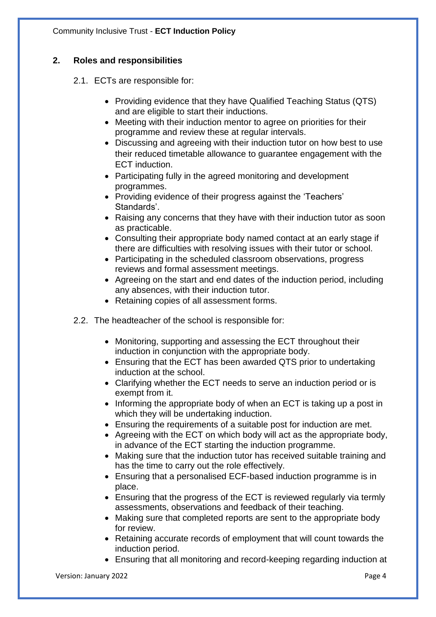# **2. Roles and responsibilities**

- 2.1. ECTs are responsible for:
	- Providing evidence that they have Qualified Teaching Status (QTS) and are eligible to start their inductions.
	- Meeting with their induction mentor to agree on priorities for their programme and review these at regular intervals.
	- Discussing and agreeing with their induction tutor on how best to use their reduced timetable allowance to guarantee engagement with the ECT induction.
	- Participating fully in the agreed monitoring and development programmes.
	- Providing evidence of their progress against the 'Teachers' Standards'.
	- Raising any concerns that they have with their induction tutor as soon as practicable.
	- Consulting their appropriate body named contact at an early stage if there are difficulties with resolving issues with their tutor or school.
	- Participating in the scheduled classroom observations, progress reviews and formal assessment meetings.
	- Agreeing on the start and end dates of the induction period, including any absences, with their induction tutor.
	- Retaining copies of all assessment forms.
- 2.2. The headteacher of the school is responsible for:
	- Monitoring, supporting and assessing the ECT throughout their induction in conjunction with the appropriate body.
	- Ensuring that the ECT has been awarded QTS prior to undertaking induction at the school.
	- Clarifying whether the ECT needs to serve an induction period or is exempt from it.
	- Informing the appropriate body of when an ECT is taking up a post in which they will be undertaking induction.
	- Ensuring the requirements of a suitable post for induction are met.
	- Agreeing with the ECT on which body will act as the appropriate body, in advance of the ECT starting the induction programme.
	- Making sure that the induction tutor has received suitable training and has the time to carry out the role effectively.
	- Ensuring that a personalised ECF-based induction programme is in place.
	- Ensuring that the progress of the ECT is reviewed regularly via termly assessments, observations and feedback of their teaching.
	- Making sure that completed reports are sent to the appropriate body for review.
	- Retaining accurate records of employment that will count towards the induction period.
	- Ensuring that all monitoring and record-keeping regarding induction at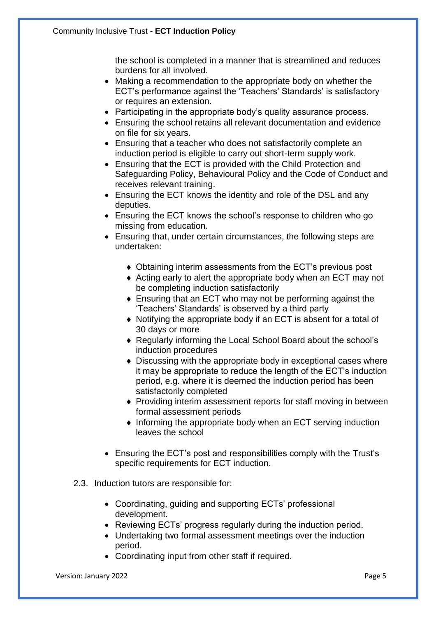the school is completed in a manner that is streamlined and reduces burdens for all involved.

- Making a recommendation to the appropriate body on whether the ECT's performance against the 'Teachers' Standards' is satisfactory or requires an extension.
- Participating in the appropriate body's quality assurance process.
- Ensuring the school retains all relevant documentation and evidence on file for six years.
- Ensuring that a teacher who does not satisfactorily complete an induction period is eligible to carry out short-term supply work.
- Ensuring that the ECT is provided with the Child Protection and Safeguarding Policy, Behavioural Policy and the Code of Conduct and receives relevant training.
- Ensuring the ECT knows the identity and role of the DSL and any deputies.
- Ensuring the ECT knows the school's response to children who go missing from education.
- Ensuring that, under certain circumstances, the following steps are undertaken:
	- Obtaining interim assessments from the ECT's previous post
	- Acting early to alert the appropriate body when an ECT may not be completing induction satisfactorily
	- Ensuring that an ECT who may not be performing against the 'Teachers' Standards' is observed by a third party
	- Notifying the appropriate body if an ECT is absent for a total of 30 days or more
	- Regularly informing the Local School Board about the school's induction procedures
	- Discussing with the appropriate body in exceptional cases where it may be appropriate to reduce the length of the ECT's induction period, e.g. where it is deemed the induction period has been satisfactorily completed
	- Providing interim assessment reports for staff moving in between formal assessment periods
	- $\bullet$  Informing the appropriate body when an ECT serving induction leaves the school
- Ensuring the ECT's post and responsibilities comply with the Trust's specific requirements for ECT induction.
- 2.3. Induction tutors are responsible for:
	- Coordinating, guiding and supporting ECTs' professional development.
	- Reviewing ECTs' progress regularly during the induction period.
	- Undertaking two formal assessment meetings over the induction period.
	- Coordinating input from other staff if required.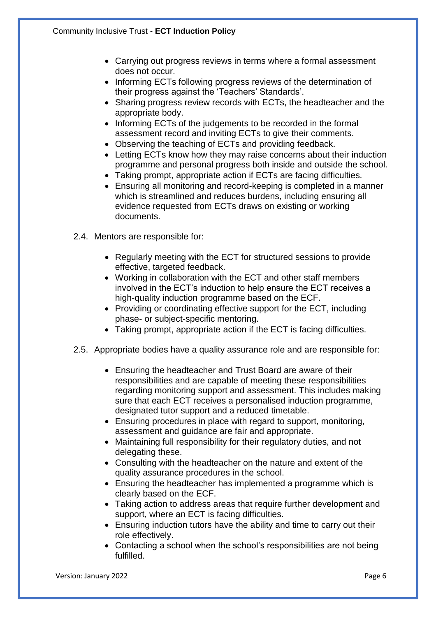- Carrying out progress reviews in terms where a formal assessment does not occur.
- Informing ECTs following progress reviews of the determination of their progress against the 'Teachers' Standards'.
- Sharing progress review records with ECTs, the headteacher and the appropriate body.
- Informing ECTs of the judgements to be recorded in the formal assessment record and inviting ECTs to give their comments.
- Observing the teaching of ECTs and providing feedback.
- Letting ECTs know how they may raise concerns about their induction programme and personal progress both inside and outside the school.
- Taking prompt, appropriate action if ECTs are facing difficulties.
- Ensuring all monitoring and record-keeping is completed in a manner which is streamlined and reduces burdens, including ensuring all evidence requested from ECTs draws on existing or working documents.
- 2.4. Mentors are responsible for:
	- Regularly meeting with the ECT for structured sessions to provide effective, targeted feedback.
	- Working in collaboration with the ECT and other staff members involved in the ECT's induction to help ensure the ECT receives a high-quality induction programme based on the ECF.
	- Providing or coordinating effective support for the ECT, including phase- or subject-specific mentoring.
	- Taking prompt, appropriate action if the ECT is facing difficulties.
- 2.5. Appropriate bodies have a quality assurance role and are responsible for:
	- Ensuring the headteacher and Trust Board are aware of their responsibilities and are capable of meeting these responsibilities regarding monitoring support and assessment. This includes making sure that each ECT receives a personalised induction programme, designated tutor support and a reduced timetable.
	- Ensuring procedures in place with regard to support, monitoring, assessment and guidance are fair and appropriate.
	- Maintaining full responsibility for their regulatory duties, and not delegating these.
	- Consulting with the headteacher on the nature and extent of the quality assurance procedures in the school.
	- Ensuring the headteacher has implemented a programme which is clearly based on the ECF.
	- Taking action to address areas that require further development and support, where an ECT is facing difficulties.
	- Ensuring induction tutors have the ability and time to carry out their role effectively.
	- Contacting a school when the school's responsibilities are not being fulfilled.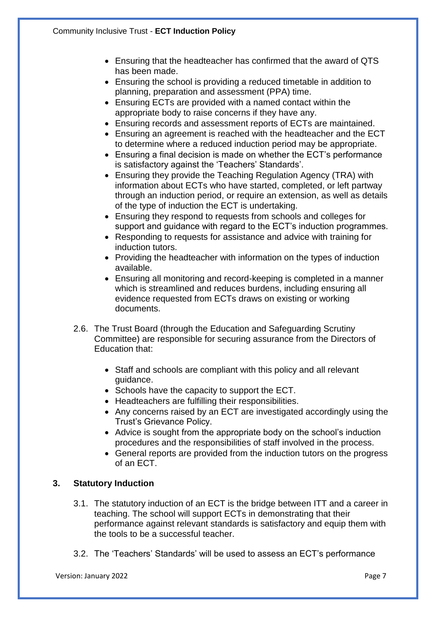- Ensuring that the headteacher has confirmed that the award of QTS has been made.
- Ensuring the school is providing a reduced timetable in addition to planning, preparation and assessment (PPA) time.
- Ensuring ECTs are provided with a named contact within the appropriate body to raise concerns if they have any.
- Ensuring records and assessment reports of ECTs are maintained.
- Ensuring an agreement is reached with the headteacher and the ECT to determine where a reduced induction period may be appropriate.
- Ensuring a final decision is made on whether the ECT's performance is satisfactory against the 'Teachers' Standards'.
- Ensuring they provide the Teaching Regulation Agency (TRA) with information about ECTs who have started, completed, or left partway through an induction period, or require an extension, as well as details of the type of induction the ECT is undertaking.
- Ensuring they respond to requests from schools and colleges for support and guidance with regard to the ECT's induction programmes.
- Responding to requests for assistance and advice with training for induction tutors.
- Providing the headteacher with information on the types of induction available.
- Ensuring all monitoring and record-keeping is completed in a manner which is streamlined and reduces burdens, including ensuring all evidence requested from ECTs draws on existing or working documents.
- 2.6. The Trust Board (through the Education and Safeguarding Scrutiny Committee) are responsible for securing assurance from the Directors of Education that:
	- Staff and schools are compliant with this policy and all relevant guidance.
	- Schools have the capacity to support the ECT.
	- Headteachers are fulfilling their responsibilities.
	- Any concerns raised by an ECT are investigated accordingly using the Trust's Grievance Policy.
	- Advice is sought from the appropriate body on the school's induction procedures and the responsibilities of staff involved in the process.
	- General reports are provided from the induction tutors on the progress of an ECT.

# **3. Statutory Induction**

- 3.1. The statutory induction of an ECT is the bridge between ITT and a career in teaching. The school will support ECTs in demonstrating that their performance against relevant standards is satisfactory and equip them with the tools to be a successful teacher.
- 3.2. The 'Teachers' Standards' will be used to assess an ECT's performance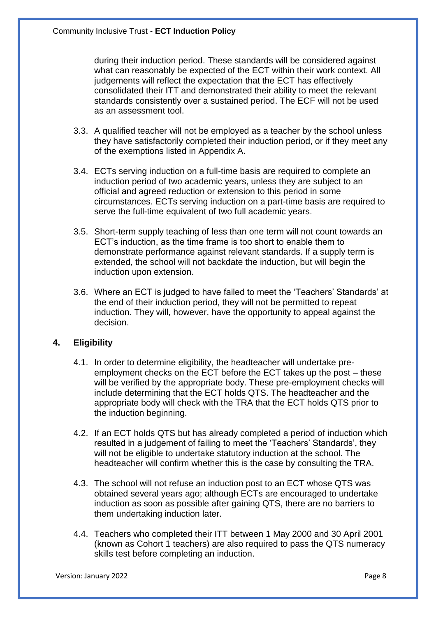during their induction period. These standards will be considered against what can reasonably be expected of the ECT within their work context. All judgements will reflect the expectation that the ECT has effectively consolidated their ITT and demonstrated their ability to meet the relevant standards consistently over a sustained period. The ECF will not be used as an assessment tool.

- 3.3. A qualified teacher will not be employed as a teacher by the school unless they have satisfactorily completed their induction period, or if they meet any of the exemptions listed in Appendix A.
- 3.4. ECTs serving induction on a full-time basis are required to complete an induction period of two academic years, unless they are subject to an official and agreed reduction or extension to this period in some circumstances. ECTs serving induction on a part-time basis are required to serve the full-time equivalent of two full academic years.
- 3.5. Short-term supply teaching of less than one term will not count towards an ECT's induction, as the time frame is too short to enable them to demonstrate performance against relevant standards. If a supply term is extended, the school will not backdate the induction, but will begin the induction upon extension.
- 3.6. Where an ECT is judged to have failed to meet the 'Teachers' Standards' at the end of their induction period, they will not be permitted to repeat induction. They will, however, have the opportunity to appeal against the decision.

# **4. Eligibility**

- 4.1. In order to determine eligibility, the headteacher will undertake preemployment checks on the ECT before the ECT takes up the post – these will be verified by the appropriate body. These pre-employment checks will include determining that the ECT holds QTS. The headteacher and the appropriate body will check with the TRA that the ECT holds QTS prior to the induction beginning.
- 4.2. If an ECT holds QTS but has already completed a period of induction which resulted in a judgement of failing to meet the 'Teachers' Standards', they will not be eligible to undertake statutory induction at the school. The headteacher will confirm whether this is the case by consulting the TRA.
- 4.3. The school will not refuse an induction post to an ECT whose QTS was obtained several years ago; although ECTs are encouraged to undertake induction as soon as possible after gaining QTS, there are no barriers to them undertaking induction later.
- 4.4. Teachers who completed their ITT between 1 May 2000 and 30 April 2001 (known as Cohort 1 teachers) are also required to pass the QTS numeracy skills test before completing an induction.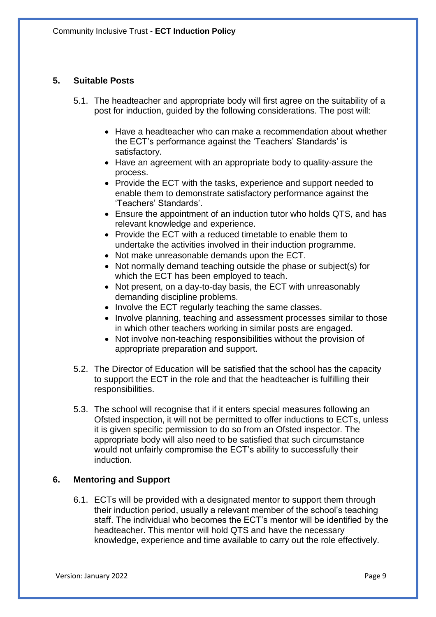### **5. Suitable Posts**

- 5.1. The headteacher and appropriate body will first agree on the suitability of a post for induction, guided by the following considerations. The post will:
	- Have a headteacher who can make a recommendation about whether the ECT's performance against the 'Teachers' Standards' is satisfactory.
	- Have an agreement with an appropriate body to quality-assure the process.
	- Provide the ECT with the tasks, experience and support needed to enable them to demonstrate satisfactory performance against the 'Teachers' Standards'.
	- Ensure the appointment of an induction tutor who holds QTS, and has relevant knowledge and experience.
	- Provide the ECT with a reduced timetable to enable them to undertake the activities involved in their induction programme.
	- Not make unreasonable demands upon the ECT.
	- Not normally demand teaching outside the phase or subject(s) for which the ECT has been employed to teach.
	- Not present, on a day-to-day basis, the ECT with unreasonably demanding discipline problems.
	- Involve the ECT regularly teaching the same classes.
	- Involve planning, teaching and assessment processes similar to those in which other teachers working in similar posts are engaged.
	- Not involve non-teaching responsibilities without the provision of appropriate preparation and support.
- 5.2. The Director of Education will be satisfied that the school has the capacity to support the ECT in the role and that the headteacher is fulfilling their responsibilities.
- 5.3. The school will recognise that if it enters special measures following an Ofsted inspection, it will not be permitted to offer inductions to ECTs, unless it is given specific permission to do so from an Ofsted inspector. The appropriate body will also need to be satisfied that such circumstance would not unfairly compromise the ECT's ability to successfully their induction.

### **6. Mentoring and Support**

6.1. ECTs will be provided with a designated mentor to support them through their induction period, usually a relevant member of the school's teaching staff. The individual who becomes the ECT's mentor will be identified by the headteacher. This mentor will hold QTS and have the necessary knowledge, experience and time available to carry out the role effectively.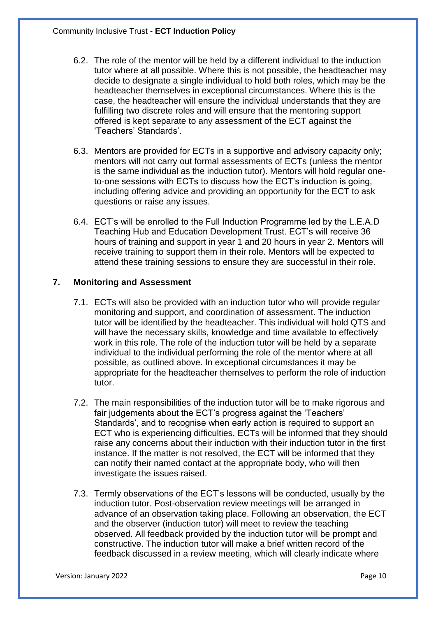- 6.2. The role of the mentor will be held by a different individual to the induction tutor where at all possible. Where this is not possible, the headteacher may decide to designate a single individual to hold both roles, which may be the headteacher themselves in exceptional circumstances. Where this is the case, the headteacher will ensure the individual understands that they are fulfilling two discrete roles and will ensure that the mentoring support offered is kept separate to any assessment of the ECT against the 'Teachers' Standards'.
- 6.3. Mentors are provided for ECTs in a supportive and advisory capacity only; mentors will not carry out formal assessments of ECTs (unless the mentor is the same individual as the induction tutor). Mentors will hold regular oneto-one sessions with ECTs to discuss how the ECT's induction is going, including offering advice and providing an opportunity for the ECT to ask questions or raise any issues.
- 6.4. ECT's will be enrolled to the Full Induction Programme led by the L.E.A.D Teaching Hub and Education Development Trust. ECT's will receive 36 hours of training and support in year 1 and 20 hours in year 2. Mentors will receive training to support them in their role. Mentors will be expected to attend these training sessions to ensure they are successful in their role.

# **7. Monitoring and Assessment**

- 7.1. ECTs will also be provided with an induction tutor who will provide regular monitoring and support, and coordination of assessment. The induction tutor will be identified by the headteacher. This individual will hold QTS and will have the necessary skills, knowledge and time available to effectively work in this role. The role of the induction tutor will be held by a separate individual to the individual performing the role of the mentor where at all possible, as outlined above. In exceptional circumstances it may be appropriate for the headteacher themselves to perform the role of induction tutor.
- 7.2. The main responsibilities of the induction tutor will be to make rigorous and fair judgements about the ECT's progress against the 'Teachers' Standards', and to recognise when early action is required to support an ECT who is experiencing difficulties. ECTs will be informed that they should raise any concerns about their induction with their induction tutor in the first instance. If the matter is not resolved, the ECT will be informed that they can notify their named contact at the appropriate body, who will then investigate the issues raised.
- 7.3. Termly observations of the ECT's lessons will be conducted, usually by the induction tutor. Post-observation review meetings will be arranged in advance of an observation taking place. Following an observation, the ECT and the observer (induction tutor) will meet to review the teaching observed. All feedback provided by the induction tutor will be prompt and constructive. The induction tutor will make a brief written record of the feedback discussed in a review meeting, which will clearly indicate where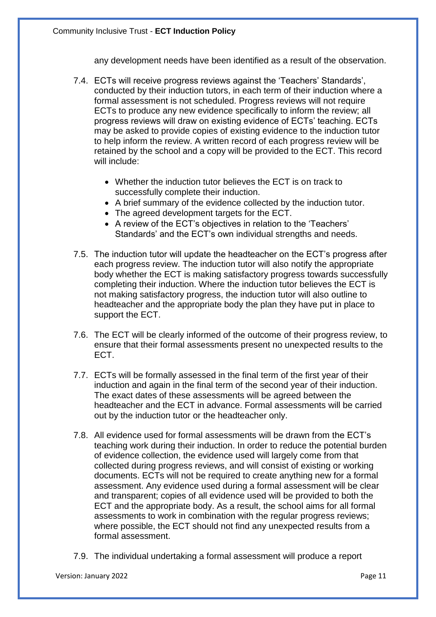any development needs have been identified as a result of the observation.

- 7.4. ECTs will receive progress reviews against the 'Teachers' Standards', conducted by their induction tutors, in each term of their induction where a formal assessment is not scheduled. Progress reviews will not require ECTs to produce any new evidence specifically to inform the review; all progress reviews will draw on existing evidence of ECTs' teaching. ECTs may be asked to provide copies of existing evidence to the induction tutor to help inform the review. A written record of each progress review will be retained by the school and a copy will be provided to the ECT. This record will include:
	- Whether the induction tutor believes the ECT is on track to successfully complete their induction.
	- A brief summary of the evidence collected by the induction tutor.
	- The agreed development targets for the ECT.
	- A review of the ECT's objectives in relation to the 'Teachers' Standards' and the ECT's own individual strengths and needs.
- 7.5. The induction tutor will update the headteacher on the ECT's progress after each progress review. The induction tutor will also notify the appropriate body whether the ECT is making satisfactory progress towards successfully completing their induction. Where the induction tutor believes the ECT is not making satisfactory progress, the induction tutor will also outline to headteacher and the appropriate body the plan they have put in place to support the ECT.
- 7.6. The ECT will be clearly informed of the outcome of their progress review, to ensure that their formal assessments present no unexpected results to the ECT.
- 7.7. ECTs will be formally assessed in the final term of the first year of their induction and again in the final term of the second year of their induction. The exact dates of these assessments will be agreed between the headteacher and the ECT in advance. Formal assessments will be carried out by the induction tutor or the headteacher only.
- 7.8. All evidence used for formal assessments will be drawn from the ECT's teaching work during their induction. In order to reduce the potential burden of evidence collection, the evidence used will largely come from that collected during progress reviews, and will consist of existing or working documents. ECTs will not be required to create anything new for a formal assessment. Any evidence used during a formal assessment will be clear and transparent; copies of all evidence used will be provided to both the ECT and the appropriate body. As a result, the school aims for all formal assessments to work in combination with the regular progress reviews; where possible, the ECT should not find any unexpected results from a formal assessment.
- 7.9. The individual undertaking a formal assessment will produce a report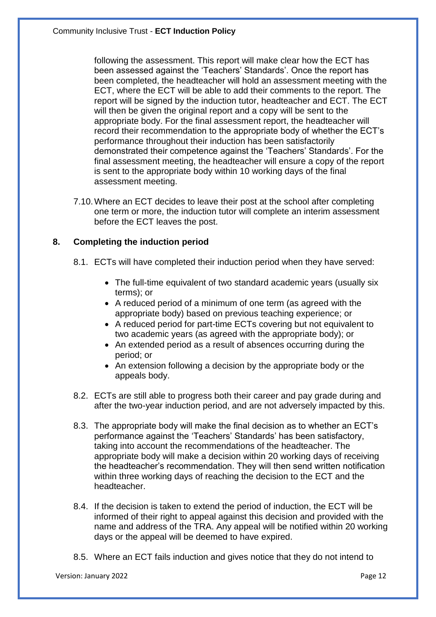following the assessment. This report will make clear how the ECT has been assessed against the 'Teachers' Standards'. Once the report has been completed, the headteacher will hold an assessment meeting with the ECT, where the ECT will be able to add their comments to the report. The report will be signed by the induction tutor, headteacher and ECT. The ECT will then be given the original report and a copy will be sent to the appropriate body. For the final assessment report, the headteacher will record their recommendation to the appropriate body of whether the ECT's performance throughout their induction has been satisfactorily demonstrated their competence against the 'Teachers' Standards'. For the final assessment meeting, the headteacher will ensure a copy of the report is sent to the appropriate body within 10 working days of the final assessment meeting.

7.10.Where an ECT decides to leave their post at the school after completing one term or more, the induction tutor will complete an interim assessment before the ECT leaves the post.

### **8. Completing the induction period**

- 8.1. ECTs will have completed their induction period when they have served:
	- The full-time equivalent of two standard academic years (usually six terms); or
	- A reduced period of a minimum of one term (as agreed with the appropriate body) based on previous teaching experience; or
	- A reduced period for part-time ECTs covering but not equivalent to two academic years (as agreed with the appropriate body); or
	- An extended period as a result of absences occurring during the period; or
	- An extension following a decision by the appropriate body or the appeals body.
- 8.2. ECTs are still able to progress both their career and pay grade during and after the two-year induction period, and are not adversely impacted by this.
- 8.3. The appropriate body will make the final decision as to whether an ECT's performance against the 'Teachers' Standards' has been satisfactory, taking into account the recommendations of the headteacher. The appropriate body will make a decision within 20 working days of receiving the headteacher's recommendation. They will then send written notification within three working days of reaching the decision to the ECT and the headteacher.
- 8.4. If the decision is taken to extend the period of induction, the ECT will be informed of their right to appeal against this decision and provided with the name and address of the TRA. Any appeal will be notified within 20 working days or the appeal will be deemed to have expired.
- 8.5. Where an ECT fails induction and gives notice that they do not intend to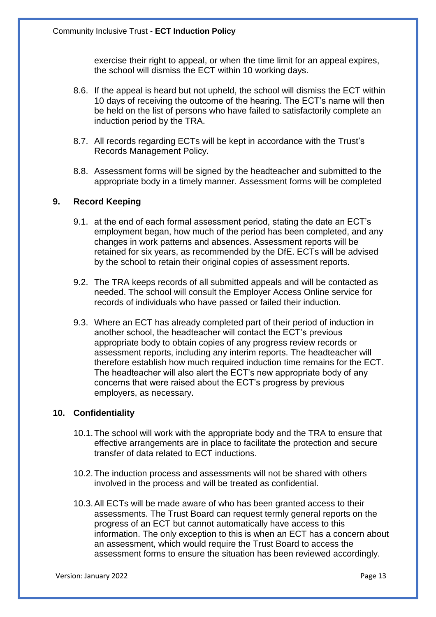exercise their right to appeal, or when the time limit for an appeal expires, the school will dismiss the ECT within 10 working days.

- 8.6. If the appeal is heard but not upheld, the school will dismiss the ECT within 10 days of receiving the outcome of the hearing. The ECT's name will then be held on the list of persons who have failed to satisfactorily complete an induction period by the TRA.
- 8.7. All records regarding ECTs will be kept in accordance with the Trust's Records Management Policy.
- 8.8. Assessment forms will be signed by the headteacher and submitted to the appropriate body in a timely manner. Assessment forms will be completed

### **9. Record Keeping**

- 9.1. at the end of each formal assessment period, stating the date an ECT's employment began, how much of the period has been completed, and any changes in work patterns and absences. Assessment reports will be retained for six years, as recommended by the DfE. ECTs will be advised by the school to retain their original copies of assessment reports.
- 9.2. The TRA keeps records of all submitted appeals and will be contacted as needed. The school will consult the Employer Access Online service for records of individuals who have passed or failed their induction.
- 9.3. Where an ECT has already completed part of their period of induction in another school, the headteacher will contact the ECT's previous appropriate body to obtain copies of any progress review records or assessment reports, including any interim reports. The headteacher will therefore establish how much required induction time remains for the ECT. The headteacher will also alert the ECT's new appropriate body of any concerns that were raised about the ECT's progress by previous employers, as necessary.

#### **10. Confidentiality**

- 10.1.The school will work with the appropriate body and the TRA to ensure that effective arrangements are in place to facilitate the protection and secure transfer of data related to ECT inductions.
- 10.2.The induction process and assessments will not be shared with others involved in the process and will be treated as confidential.
- 10.3.All ECTs will be made aware of who has been granted access to their assessments. The Trust Board can request termly general reports on the progress of an ECT but cannot automatically have access to this information. The only exception to this is when an ECT has a concern about an assessment, which would require the Trust Board to access the assessment forms to ensure the situation has been reviewed accordingly.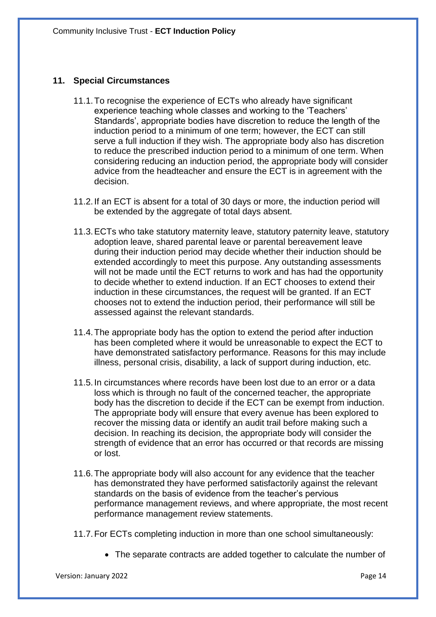### **11. Special Circumstances**

- 11.1.To recognise the experience of ECTs who already have significant experience teaching whole classes and working to the 'Teachers' Standards', appropriate bodies have discretion to reduce the length of the induction period to a minimum of one term; however, the ECT can still serve a full induction if they wish. The appropriate body also has discretion to reduce the prescribed induction period to a minimum of one term. When considering reducing an induction period, the appropriate body will consider advice from the headteacher and ensure the ECT is in agreement with the decision.
- 11.2.If an ECT is absent for a total of 30 days or more, the induction period will be extended by the aggregate of total days absent.
- 11.3.ECTs who take statutory maternity leave, statutory paternity leave, statutory adoption leave, shared parental leave or parental bereavement leave during their induction period may decide whether their induction should be extended accordingly to meet this purpose. Any outstanding assessments will not be made until the ECT returns to work and has had the opportunity to decide whether to extend induction. If an ECT chooses to extend their induction in these circumstances, the request will be granted. If an ECT chooses not to extend the induction period, their performance will still be assessed against the relevant standards.
- 11.4.The appropriate body has the option to extend the period after induction has been completed where it would be unreasonable to expect the ECT to have demonstrated satisfactory performance. Reasons for this may include illness, personal crisis, disability, a lack of support during induction, etc.
- 11.5.In circumstances where records have been lost due to an error or a data loss which is through no fault of the concerned teacher, the appropriate body has the discretion to decide if the ECT can be exempt from induction. The appropriate body will ensure that every avenue has been explored to recover the missing data or identify an audit trail before making such a decision. In reaching its decision, the appropriate body will consider the strength of evidence that an error has occurred or that records are missing or lost.
- 11.6.The appropriate body will also account for any evidence that the teacher has demonstrated they have performed satisfactorily against the relevant standards on the basis of evidence from the teacher's pervious performance management reviews, and where appropriate, the most recent performance management review statements.
- 11.7.For ECTs completing induction in more than one school simultaneously:
	- The separate contracts are added together to calculate the number of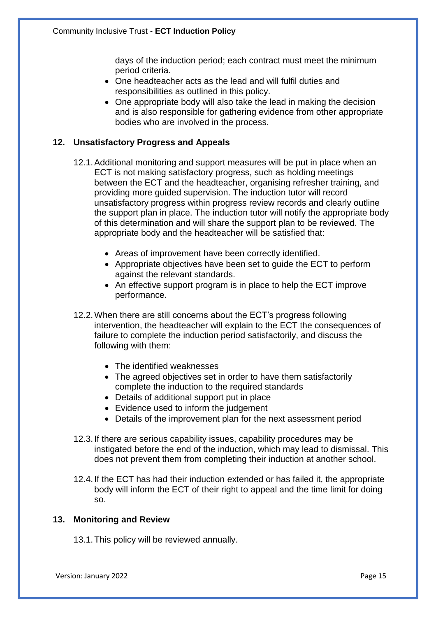days of the induction period; each contract must meet the minimum period criteria.

- One headteacher acts as the lead and will fulfil duties and responsibilities as outlined in this policy.
- One appropriate body will also take the lead in making the decision and is also responsible for gathering evidence from other appropriate bodies who are involved in the process.

# **12. Unsatisfactory Progress and Appeals**

- 12.1.Additional monitoring and support measures will be put in place when an ECT is not making satisfactory progress, such as holding meetings between the ECT and the headteacher, organising refresher training, and providing more guided supervision. The induction tutor will record unsatisfactory progress within progress review records and clearly outline the support plan in place. The induction tutor will notify the appropriate body of this determination and will share the support plan to be reviewed. The appropriate body and the headteacher will be satisfied that:
	- Areas of improvement have been correctly identified.
	- Appropriate objectives have been set to guide the ECT to perform against the relevant standards.
	- An effective support program is in place to help the ECT improve performance.
- 12.2.When there are still concerns about the ECT's progress following intervention, the headteacher will explain to the ECT the consequences of failure to complete the induction period satisfactorily, and discuss the following with them:
	- The identified weaknesses
	- The agreed objectives set in order to have them satisfactorily complete the induction to the required standards
	- Details of additional support put in place
	- Evidence used to inform the judgement
	- Details of the improvement plan for the next assessment period
- 12.3.If there are serious capability issues, capability procedures may be instigated before the end of the induction, which may lead to dismissal. This does not prevent them from completing their induction at another school.
- 12.4.If the ECT has had their induction extended or has failed it, the appropriate body will inform the ECT of their right to appeal and the time limit for doing so.

#### **13. Monitoring and Review**

13.1.This policy will be reviewed annually.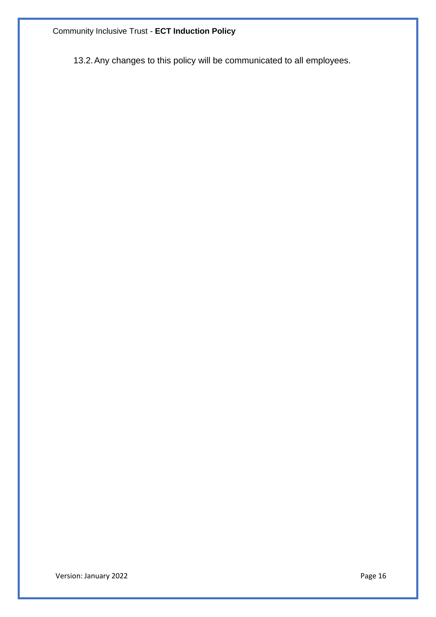Community Inclusive Trust - **ECT Induction Policy**

13.2.Any changes to this policy will be communicated to all employees.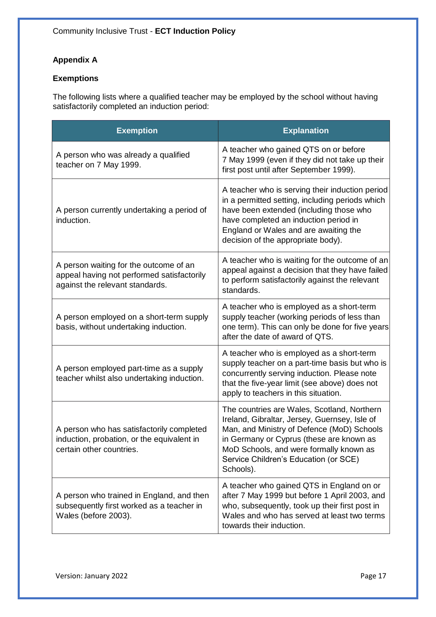# **Appendix A**

# **Exemptions**

The following lists where a qualified teacher may be employed by the school without having satisfactorily completed an induction period:

| <b>Exemption</b>                                                                                                        | <b>Explanation</b>                                                                                                                                                                                                                                                                      |
|-------------------------------------------------------------------------------------------------------------------------|-----------------------------------------------------------------------------------------------------------------------------------------------------------------------------------------------------------------------------------------------------------------------------------------|
| A person who was already a qualified<br>teacher on 7 May 1999.                                                          | A teacher who gained QTS on or before<br>7 May 1999 (even if they did not take up their<br>first post until after September 1999).                                                                                                                                                      |
| A person currently undertaking a period of<br>induction.                                                                | A teacher who is serving their induction period<br>in a permitted setting, including periods which<br>have been extended (including those who<br>have completed an induction period in<br>England or Wales and are awaiting the<br>decision of the appropriate body).                   |
| A person waiting for the outcome of an<br>appeal having not performed satisfactorily<br>against the relevant standards. | A teacher who is waiting for the outcome of an<br>appeal against a decision that they have failed<br>to perform satisfactorily against the relevant<br>standards.                                                                                                                       |
| A person employed on a short-term supply<br>basis, without undertaking induction.                                       | A teacher who is employed as a short-term<br>supply teacher (working periods of less than<br>one term). This can only be done for five years<br>after the date of award of QTS.                                                                                                         |
| A person employed part-time as a supply<br>teacher whilst also undertaking induction.                                   | A teacher who is employed as a short-term<br>supply teacher on a part-time basis but who is<br>concurrently serving induction. Please note<br>that the five-year limit (see above) does not<br>apply to teachers in this situation.                                                     |
| A person who has satisfactorily completed<br>induction, probation, or the equivalent in<br>certain other countries.     | The countries are Wales, Scotland, Northern<br>Ireland, Gibraltar, Jersey, Guernsey, Isle of<br>Man, and Ministry of Defence (MoD) Schools<br>in Germany or Cyprus (these are known as<br>MoD Schools, and were formally known as<br>Service Children's Education (or SCE)<br>Schools). |
| A person who trained in England, and then<br>subsequently first worked as a teacher in<br>Wales (before 2003).          | A teacher who gained QTS in England on or<br>after 7 May 1999 but before 1 April 2003, and<br>who, subsequently, took up their first post in<br>Wales and who has served at least two terms<br>towards their induction.                                                                 |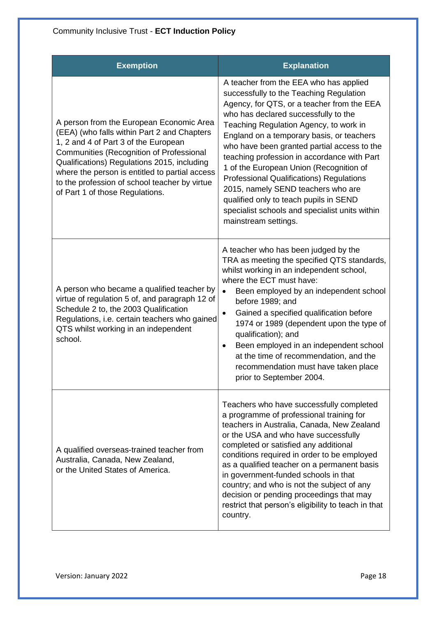| <b>Exemption</b>                                                                                                                                                                                                                                                                                                                                                 | <b>Explanation</b>                                                                                                                                                                                                                                                                                                                                                                                                                                                                                                                                                                                                   |
|------------------------------------------------------------------------------------------------------------------------------------------------------------------------------------------------------------------------------------------------------------------------------------------------------------------------------------------------------------------|----------------------------------------------------------------------------------------------------------------------------------------------------------------------------------------------------------------------------------------------------------------------------------------------------------------------------------------------------------------------------------------------------------------------------------------------------------------------------------------------------------------------------------------------------------------------------------------------------------------------|
| A person from the European Economic Area<br>(EEA) (who falls within Part 2 and Chapters<br>1, 2 and 4 of Part 3 of the European<br>Communities (Recognition of Professional<br>Qualifications) Regulations 2015, including<br>where the person is entitled to partial access<br>to the profession of school teacher by virtue<br>of Part 1 of those Regulations. | A teacher from the EEA who has applied<br>successfully to the Teaching Regulation<br>Agency, for QTS, or a teacher from the EEA<br>who has declared successfully to the<br>Teaching Regulation Agency, to work in<br>England on a temporary basis, or teachers<br>who have been granted partial access to the<br>teaching profession in accordance with Part<br>1 of the European Union (Recognition of<br><b>Professional Qualifications) Regulations</b><br>2015, namely SEND teachers who are<br>qualified only to teach pupils in SEND<br>specialist schools and specialist units within<br>mainstream settings. |
| A person who became a qualified teacher by<br>virtue of regulation 5 of, and paragraph 12 of<br>Schedule 2 to, the 2003 Qualification<br>Regulations, i.e. certain teachers who gained<br>QTS whilst working in an independent<br>school.                                                                                                                        | A teacher who has been judged by the<br>TRA as meeting the specified QTS standards,<br>whilst working in an independent school,<br>where the ECT must have:<br>Been employed by an independent school<br>$\bullet$<br>before 1989; and<br>Gained a specified qualification before<br>$\bullet$<br>1974 or 1989 (dependent upon the type of<br>qualification); and<br>Been employed in an independent school<br>٠<br>at the time of recommendation, and the<br>recommendation must have taken place<br>prior to September 2004.                                                                                       |
| A qualified overseas-trained teacher from<br>Australia, Canada, New Zealand,<br>or the United States of America.                                                                                                                                                                                                                                                 | Teachers who have successfully completed<br>a programme of professional training for<br>teachers in Australia, Canada, New Zealand<br>or the USA and who have successfully<br>completed or satisfied any additional<br>conditions required in order to be employed<br>as a qualified teacher on a permanent basis<br>in government-funded schools in that<br>country; and who is not the subject of any<br>decision or pending proceedings that may<br>restrict that person's eligibility to teach in that<br>country.                                                                                               |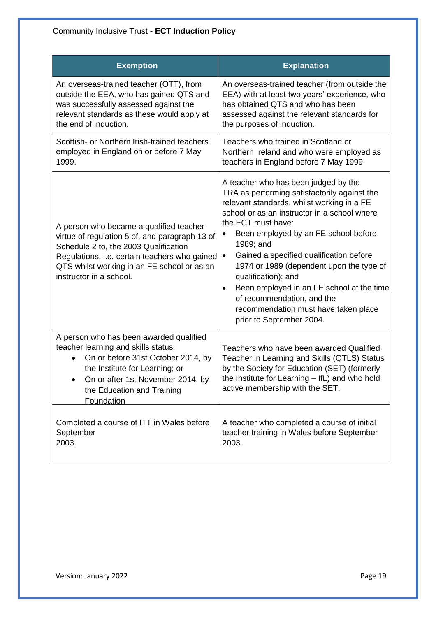| <b>Exemption</b>                                                                                                                                                                                                                                              | <b>Explanation</b>                                                                                                                                                                                                                                                                                                                                                                                                                                                                                                                                   |
|---------------------------------------------------------------------------------------------------------------------------------------------------------------------------------------------------------------------------------------------------------------|------------------------------------------------------------------------------------------------------------------------------------------------------------------------------------------------------------------------------------------------------------------------------------------------------------------------------------------------------------------------------------------------------------------------------------------------------------------------------------------------------------------------------------------------------|
| An overseas-trained teacher (OTT), from                                                                                                                                                                                                                       | An overseas-trained teacher (from outside the                                                                                                                                                                                                                                                                                                                                                                                                                                                                                                        |
| outside the EEA, who has gained QTS and                                                                                                                                                                                                                       | EEA) with at least two years' experience, who                                                                                                                                                                                                                                                                                                                                                                                                                                                                                                        |
| was successfully assessed against the                                                                                                                                                                                                                         | has obtained QTS and who has been                                                                                                                                                                                                                                                                                                                                                                                                                                                                                                                    |
| relevant standards as these would apply at                                                                                                                                                                                                                    | assessed against the relevant standards for                                                                                                                                                                                                                                                                                                                                                                                                                                                                                                          |
| the end of induction.                                                                                                                                                                                                                                         | the purposes of induction.                                                                                                                                                                                                                                                                                                                                                                                                                                                                                                                           |
| Scottish- or Northern Irish-trained teachers                                                                                                                                                                                                                  | Teachers who trained in Scotland or                                                                                                                                                                                                                                                                                                                                                                                                                                                                                                                  |
| employed in England on or before 7 May                                                                                                                                                                                                                        | Northern Ireland and who were employed as                                                                                                                                                                                                                                                                                                                                                                                                                                                                                                            |
| 1999.                                                                                                                                                                                                                                                         | teachers in England before 7 May 1999.                                                                                                                                                                                                                                                                                                                                                                                                                                                                                                               |
| A person who became a qualified teacher<br>virtue of regulation 5 of, and paragraph 13 of<br>Schedule 2 to, the 2003 Qualification<br>Regulations, i.e. certain teachers who gained<br>QTS whilst working in an FE school or as an<br>instructor in a school. | A teacher who has been judged by the<br>TRA as performing satisfactorily against the<br>relevant standards, whilst working in a FE<br>school or as an instructor in a school where<br>the ECT must have:<br>Been employed by an FE school before<br>1989; and<br>Gained a specified qualification before<br>$\bullet$<br>1974 or 1989 (dependent upon the type of<br>qualification); and<br>Been employed in an FE school at the time<br>$\bullet$<br>of recommendation, and the<br>recommendation must have taken place<br>prior to September 2004. |
| A person who has been awarded qualified<br>teacher learning and skills status:<br>On or before 31st October 2014, by<br>the Institute for Learning; or<br>On or after 1st November 2014, by<br>the Education and Training<br>Foundation                       | Teachers who have been awarded Qualified<br>Teacher in Learning and Skills (QTLS) Status<br>by the Society for Education (SET) (formerly<br>the Institute for Learning - IfL) and who hold<br>active membership with the SET.                                                                                                                                                                                                                                                                                                                        |
| Completed a course of ITT in Wales before                                                                                                                                                                                                                     | A teacher who completed a course of initial                                                                                                                                                                                                                                                                                                                                                                                                                                                                                                          |
| September                                                                                                                                                                                                                                                     | teacher training in Wales before September                                                                                                                                                                                                                                                                                                                                                                                                                                                                                                           |
| 2003.                                                                                                                                                                                                                                                         | 2003.                                                                                                                                                                                                                                                                                                                                                                                                                                                                                                                                                |